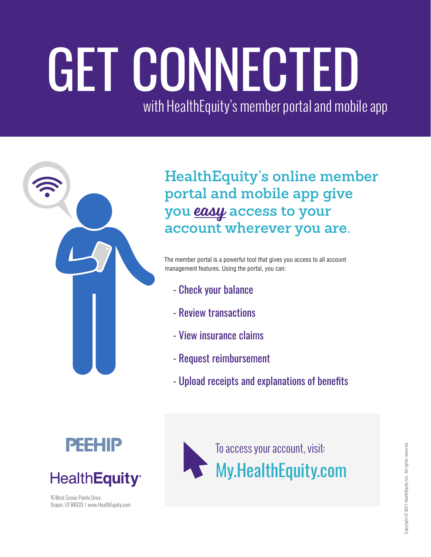# GET CONNECTED with HealthEquity's member portal and mobile app



**HealthEquity's online member portal and mobile app give you** easy **access to your account wherever you are.**

The member portal is a powerful tool that gives you access to all account management features. Using the portal, you can:

- Check your balance
- Review transactions
- View insurance claims
- Request reimbursement
- Upload receipts and explanations of benefits





15 West Scenic Pointe Drive Draper, UT 84020 I www.HealthEquity.com